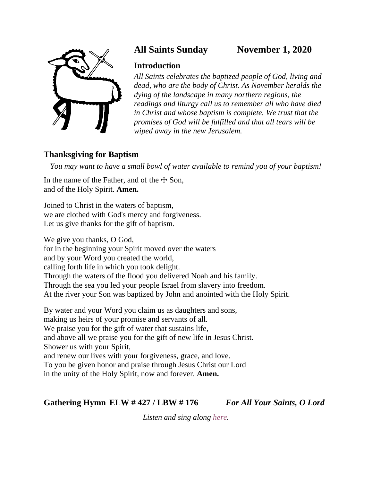

# **All Saints Sunday November 1, 2020**

### **Introduction**

*All Saints celebrates the baptized people of God, living and dead, who are the body of Christ. As November heralds the dying of the landscape in many northern regions, the readings and liturgy call us to remember all who have died in Christ and whose baptism is complete. We trust that the promises of God will be fulfilled and that all tears will be wiped away in the new Jerusalem.*

## **Thanksgiving for Baptism**

*You may want to have a small bowl of water available to remind you of your baptism!*

In the name of the Father, and of the  $\pm$  Son, and of the Holy Spirit. **Amen.**

Joined to Christ in the waters of baptism, we are clothed with God's mercy and forgiveness. Let us give thanks for the gift of baptism.

We give you thanks, O God, for in the beginning your Spirit moved over the waters and by your Word you created the world, calling forth life in which you took delight. Through the waters of the flood you delivered Noah and his family. Through the sea you led your people Israel from slavery into freedom. At the river your Son was baptized by John and anointed with the Holy Spirit.

By water and your Word you claim us as daughters and sons, making us heirs of your promise and servants of all. We praise you for the gift of water that sustains life, and above all we praise you for the gift of new life in Jesus Christ. Shower us with your Spirit, and renew our lives with your forgiveness, grace, and love. To you be given honor and praise through Jesus Christ our Lord in the unity of the Holy Spirit, now and forever. **Amen.**

## **Gathering Hymn ELW # 427 / LBW # 176** *For All Your Saints, O Lord*

*Listen and sing along [here.](https://www.youtube.com/watch?v=DO537kvsfIE)*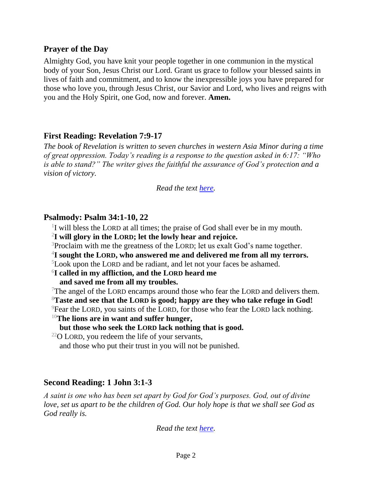### **Prayer of the Day**

Almighty God, you have knit your people together in one communion in the mystical body of your Son, Jesus Christ our Lord. Grant us grace to follow your blessed saints in lives of faith and commitment, and to know the inexpressible joys you have prepared for those who love you, through Jesus Christ, our Savior and Lord, who lives and reigns with you and the Holy Spirit, one God, now and forever. **Amen.**

### **First Reading: Revelation 7:9-17**

*The book of Revelation is written to seven churches in western Asia Minor during a time of great oppression. Today's reading is a response to the question asked in 6:17: "Who is able to stand?" The writer gives the faithful the assurance of God's protection and a vision of victory.*

*Read the text [here.](https://bible.oremus.org/?ql=471187899)*

#### **Psalmody: Psalm 34:1-10, 22**

- <sup>1</sup>I will bless the LORD at all times; the praise of God shall ever be in my mouth.
- 2 **I will glory in the LORD; let the lowly hear and rejoice.**
- $3P$ roclaim with me the greatness of the LORD; let us exalt God's name together.
- 4 **I sought the LORD, who answered me and delivered me from all my terrors.**
- <sup>5</sup>Look upon the LORD and be radiant, and let not your faces be ashamed.
- 6 **I called in my affliction, and the LORD heard me**
- **and saved me from all my troubles.**
- <sup>7</sup>The angel of the LORD encamps around those who fear the LORD and delivers them.
- <sup>8</sup>**Taste and see that the LORD is good; happy are they who take refuge in God!**
- <sup>9</sup>Fear the LORD, you saints of the LORD, for those who fear the LORD lack nothing.
- <sup>10</sup>**The lions are in want and suffer hunger,**

#### **but those who seek the LORD lack nothing that is good.**

- $22$ O LORD, you redeem the life of your servants,
	- and those who put their trust in you will not be punished.

#### **Second Reading: 1 John 3:1-3**

*A saint is one who has been set apart by God for God's purposes. God, out of divine love, set us apart to be the children of God. Our holy hope is that we shall see God as God really is.*

*Read the text [here.](https://bible.oremus.org/?ql=471187845)*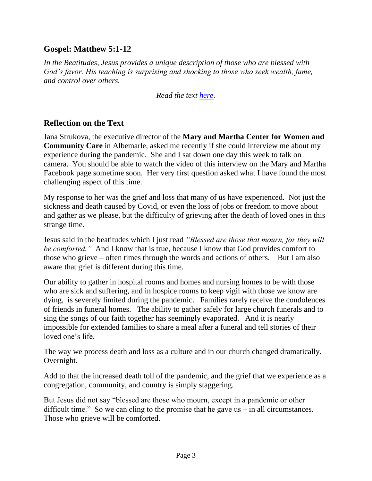### **Gospel: Matthew 5:1-12**

*In the Beatitudes, Jesus provides a unique description of those who are blessed with God's favor. His teaching is surprising and shocking to those who seek wealth, fame, and control over others.*

*Read the text [here.](https://bible.oremus.org/?ql=471187960)*

## **Reflection on the Text**

Jana Strukova, the executive director of the **Mary and Martha Center for Women and Community Care** in Albemarle, asked me recently if she could interview me about my experience during the pandemic. She and I sat down one day this week to talk on camera. You should be able to watch the video of this interview on the Mary and Martha Facebook page sometime soon. Her very first question asked what I have found the most challenging aspect of this time.

My response to her was the grief and loss that many of us have experienced. Not just the sickness and death caused by Covid, or even the loss of jobs or freedom to move about and gather as we please, but the difficulty of grieving after the death of loved ones in this strange time.

Jesus said in the beatitudes which I just read *"Blessed are those that mourn, for they will be comforted."* And I know that is true, because I know that God provides comfort to those who grieve – often times through the words and actions of others. But I am also aware that grief is different during this time.

Our ability to gather in hospital rooms and homes and nursing homes to be with those who are sick and suffering, and in hospice rooms to keep vigil with those we know are dying, is severely limited during the pandemic. Families rarely receive the condolences of friends in funeral homes. The ability to gather safely for large church funerals and to sing the songs of our faith together has seemingly evaporated. And it is nearly impossible for extended families to share a meal after a funeral and tell stories of their loved one's life.

The way we process death and loss as a culture and in our church changed dramatically. Overnight.

Add to that the increased death toll of the pandemic, and the grief that we experience as a congregation, community, and country is simply staggering.

But Jesus did not say "blessed are those who mourn, except in a pandemic or other difficult time." So we can cling to the promise that he gave us – in all circumstances. Those who grieve will be comforted.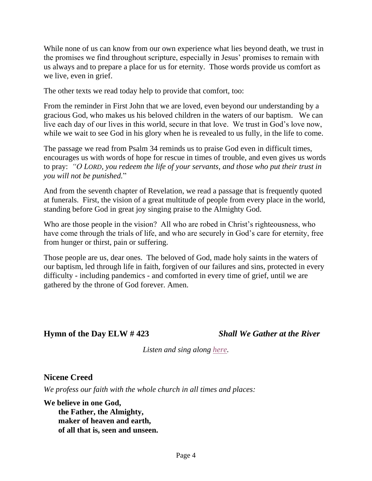While none of us can know from our own experience what lies beyond death, we trust in the promises we find throughout scripture, especially in Jesus' promises to remain with us always and to prepare a place for us for eternity. Those words provide us comfort as we live, even in grief.

The other texts we read today help to provide that comfort, too:

From the reminder in First John that we are loved, even beyond our understanding by a gracious God, who makes us his beloved children in the waters of our baptism. We can live each day of our lives in this world, secure in that love. We trust in God's love now, while we wait to see God in his glory when he is revealed to us fully, in the life to come.

The passage we read from Psalm 34 reminds us to praise God even in difficult times, encourages us with words of hope for rescue in times of trouble, and even gives us words to pray: *"O LORD, you redeem the life of your servants, and those who put their trust in you will not be punished.*"

And from the seventh chapter of Revelation, we read a passage that is frequently quoted at funerals. First, the vision of a great multitude of people from every place in the world, standing before God in great joy singing praise to the Almighty God.

Who are those people in the vision? All who are robed in Christ's righteousness, who have come through the trials of life, and who are securely in God's care for eternity, free from hunger or thirst, pain or suffering.

Those people are us, dear ones. The beloved of God, made holy saints in the waters of our baptism, led through life in faith, forgiven of our failures and sins, protected in every difficulty - including pandemics - and comforted in every time of grief, until we are gathered by the throne of God forever. Amen.

#### **Hymn of the Day ELW # 423** *Shall We Gather at the River*

*Listen and sing along [here.](https://www.youtube.com/watch?v=Y-pf-Jx19Lc)*

#### **Nicene Creed**

*We profess our faith with the whole church in all times and places:*

**We believe in one God, the Father, the Almighty,**

**maker of heaven and earth, of all that is, seen and unseen.**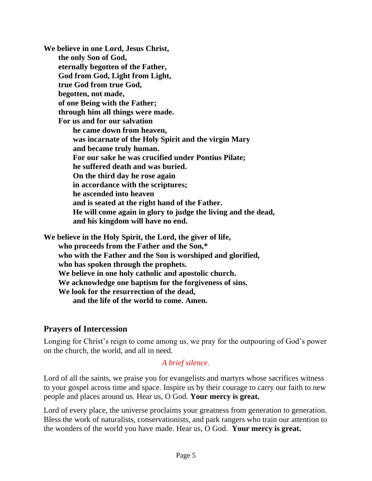**We believe in one Lord, Jesus Christ, the only Son of God, eternally begotten of the Father, God from God, Light from Light, true God from true God, begotten, not made, of one Being with the Father; through him all things were made. For us and for our salvation he came down from heaven, was incarnate of the Holy Spirit and the virgin Mary and became truly human. For our sake he was crucified under Pontius Pilate; he suffered death and was buried. On the third day he rose again in accordance with the scriptures; he ascended into heaven and is seated at the right hand of the Father. He will come again in glory to judge the living and the dead, and his kingdom will have no end. We believe in the Holy Spirit, the Lord, the giver of life,**

**who proceeds from the Father and the Son,\* who with the Father and the Son is worshiped and glorified, who has spoken through the prophets. We believe in one holy catholic and apostolic church. We acknowledge one baptism for the forgiveness of sins. We look for the resurrection of the dead, and the life of the world to come. Amen.**

#### **Prayers of Intercession**

Longing for Christ's reign to come among us, we pray for the outpouring of God's power on the church, the world, and all in need.

#### *A brief silence.*

Lord of all the saints, we praise you for evangelists and martyrs whose sacrifices witness to your gospel across time and space. Inspire us by their courage to carry our faith to new people and places around us. Hear us, O God. **Your mercy is great.**

Lord of every place, the universe proclaims your greatness from generation to generation. Bless the work of naturalists, conservationists, and park rangers who train our attention to the wonders of the world you have made. Hear us, O God. **Your mercy is great.**